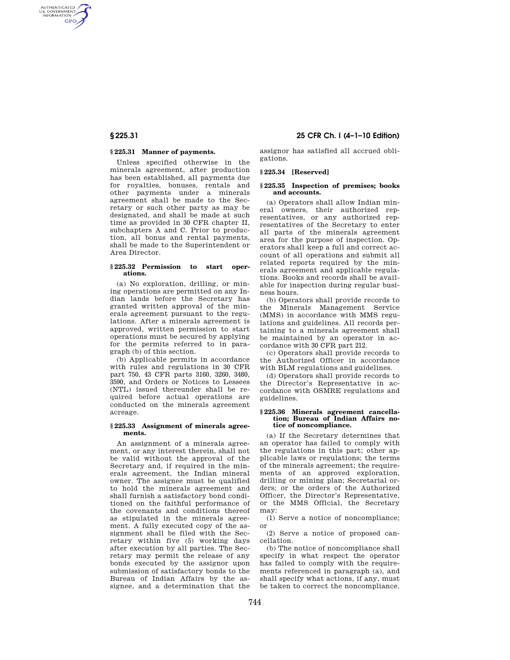AUTHENTICATED<br>U.S. GOVERNMENT<br>INFORMATION **GPO** 

## **§ 225.31 Manner of payments.**

Unless specified otherwise in the minerals agreement, after production has been established, all payments due for royalties, bonuses, rentals and other payments under a minerals agreement shall be made to the Secretary or such other party as may be designated, and shall be made at such time as provided in 30 CFR chapter II, subchapters A and C. Prior to production, all bonus and rental payments, shall be made to the Superintendent or Area Director.

#### **§ 225.32 Permission to start operations.**

(a) No exploration, drilling, or mining operations are permitted on any Indian lands before the Secretary has granted written approval of the minerals agreement pursuant to the regulations. After a minerals agreement is approved, written permission to start operations must be secured by applying for the permits referred to in paragraph (b) of this section.

(b) Applicable permits in accordance with rules and regulations in 30 CFR part 750, 43 CFR parts 3160, 3260, 3480, 3590, and Orders or Notices to Lessees (NTL) issued thereunder shall be required before actual operations are conducted on the minerals agreement acreage.

#### **§ 225.33 Assignment of minerals agreements.**

An assignment of a minerals agreement, or any interest therein, shall not be valid without the approval of the Secretary and, if required in the minerals agreement, the Indian mineral owner. The assignee must be qualified to hold the minerals agreement and shall furnish a satisfactory bond conditioned on the faithful performance of the covenants and conditions thereof as stipulated in the minerals agreement. A fully executed copy of the assignment shall be filed with the Secretary within five (5) working days after execution by all parties. The Secretary may permit the release of any bonds executed by the assignor upon submission of satisfactory bonds to the Bureau of Indian Affairs by the assignee, and a determination that the

# **§ 225.31 25 CFR Ch. I (4–1–10 Edition)**

assignor has satisfied all accrued obligations.

## **§ 225.34 [Reserved]**

#### **§ 225.35 Inspection of premises; books and accounts.**

(a) Operators shall allow Indian mineral owners, their authorized representatives, or any authorized representatives of the Secretary to enter all parts of the minerals agreement area for the purpose of inspection. Operators shall keep a full and correct account of all operations and submit all related reports required by the minerals agreement and applicable regulations. Books and records shall be available for inspection during regular business hours.

(b) Operators shall provide records to the Minerals Management Service (MMS) in accordance with MMS regulations and guidelines. All records pertaining to a minerals agreement shall be maintained by an operator in accordance with 30 CFR part 212.

(c) Operators shall provide records to the Authorized Officer in accordance with BLM regulations and guidelines.

(d) Operators shall provide records to the Director's Representative in accordance with OSMRE regulations and guidelines.

#### **§ 225.36 Minerals agreement cancellation; Bureau of Indian Affairs notice of noncompliance.**

(a) If the Secretary determines that an operator has failed to comply with the regulations in this part; other applicable laws or regulations; the terms of the minerals agreement; the requirements of an approved exploration, drilling or mining plan; Secretarial orders; or the orders of the Authorized Officer, the Director's Representative, or the MMS Official, the Secretary may:

(1) Serve a notice of noncompliance; or

(2) Serve a notice of proposed cancellation.

(b) The notice of noncompliance shall specify in what respect the operator has failed to comply with the requirements referenced in paragraph (a), and shall specify what actions, if any, must be taken to correct the noncompliance.